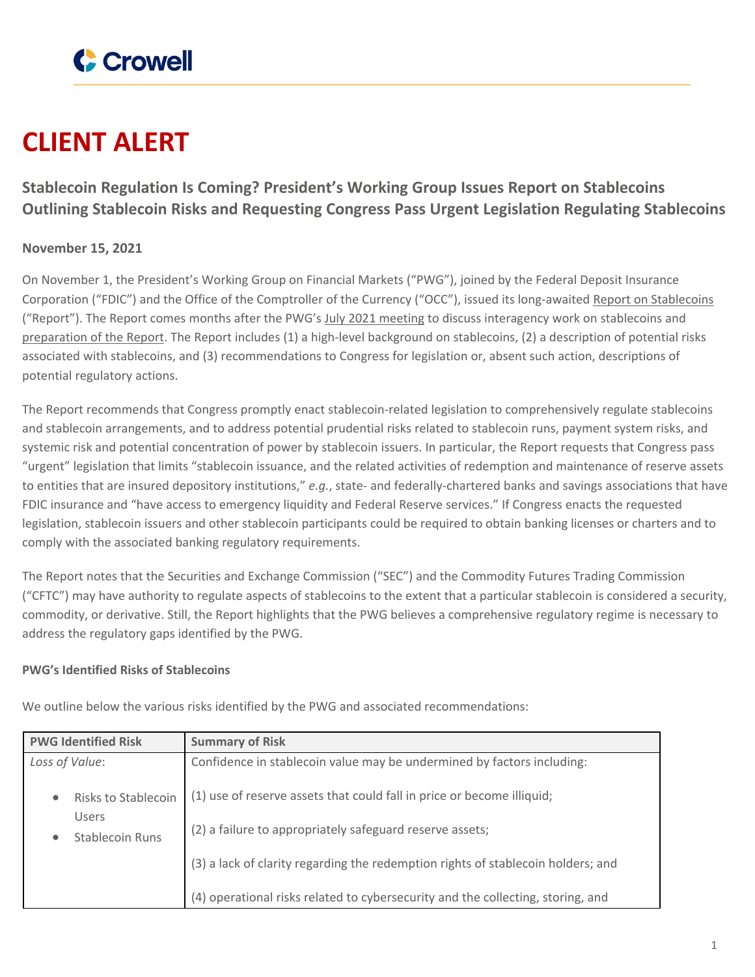

# **CLIENT ALERT**

# **Stablecoin Regulation Is Coming? President's Working Group Issues Report on Stablecoins Outlining Stablecoin Risks and Requesting Congress Pass Urgent Legislation Regulating Stablecoins**

# **November 15, 2021**

On November 1, the President's Working Group on Financial Markets ("PWG"), joined by the Federal Deposit Insurance Corporation ("FDIC") and the Office of the Comptroller of the Currency ("OCC"), issued its long-awaited Report on [Stablecoins](https://home.treasury.gov/system/files/136/StableCoinReport_Nov1_508.pdf) ("Report"). The Report comes months after the PWG's July 2021 [meeting](https://www.cmtradelaw.com/2021/07/treasury-secretary-janet-yellen-to-hold-a-meeting-of-the-presidents-working-group-on-financial-markets-pwg-to-discuss-stablecoins/) to discuss interagency work on stablecoins and [preparation](https://www.cmtradelaw.com/2021/07/update-treasury-secretary-janet-yellen-holds-a-meeting-of-the-presidents-working-group-on-financial-markets-pwg-to-discuss-stablecoins/) of the Report. The Report includes (1) a high-level background on stablecoins, (2) a description of potential risks associated with stablecoins, and (3) recommendations to Congress for legislation or, absent such action, descriptions of potential regulatory actions.

The Report recommends that Congress promptly enact stablecoin-related legislation to comprehensively regulate stablecoins and stablecoin arrangements, and to address potential prudential risks related to stablecoin runs, payment system risks, and systemic risk and potential concentration of power by stablecoin issuers. In particular, the Report requests that Congress pass "urgent" legislation that limits "stablecoin issuance, and the related activities of redemption and maintenance of reserve assets to entities that are insured depository institutions," *e.g.*, state- and federally-chartered banks and savings associations that have FDIC insurance and "have access to emergency liquidity and Federal Reserve services." If Congress enacts the requested legislation, stablecoin issuers and other stablecoin participants could be required to obtain banking licenses or charters and to comply with the associated banking regulatory requirements.

The Report notes that the Securities and Exchange Commission ("SEC") and the Commodity Futures Trading Commission ("CFTC") may have authority to regulate aspects of stablecoins to the extent that a particular stablecoin is considered a security, commodity, or derivative. Still, the Report highlights that the PWG believes a comprehensive regulatory regime is necessary to address the regulatory gaps identified by the PWG.

#### **PWG's Identified Risks of Stablecoins**

| <b>PWG Identified Risk</b>                       | <b>Summary of Risk</b>                                                           |
|--------------------------------------------------|----------------------------------------------------------------------------------|
| Loss of Value:                                   | Confidence in stablecoin value may be undermined by factors including:           |
| Risks to Stablecoin<br>$\bullet$<br><b>Users</b> | (1) use of reserve assets that could fall in price or become illiquid;           |
| <b>Stablecoin Runs</b><br>$\bullet$              | (2) a failure to appropriately safeguard reserve assets;                         |
|                                                  | (3) a lack of clarity regarding the redemption rights of stablecoin holders; and |
|                                                  | (4) operational risks related to cybersecurity and the collecting, storing, and  |

We outline below the various risks identified by the PWG and associated recommendations: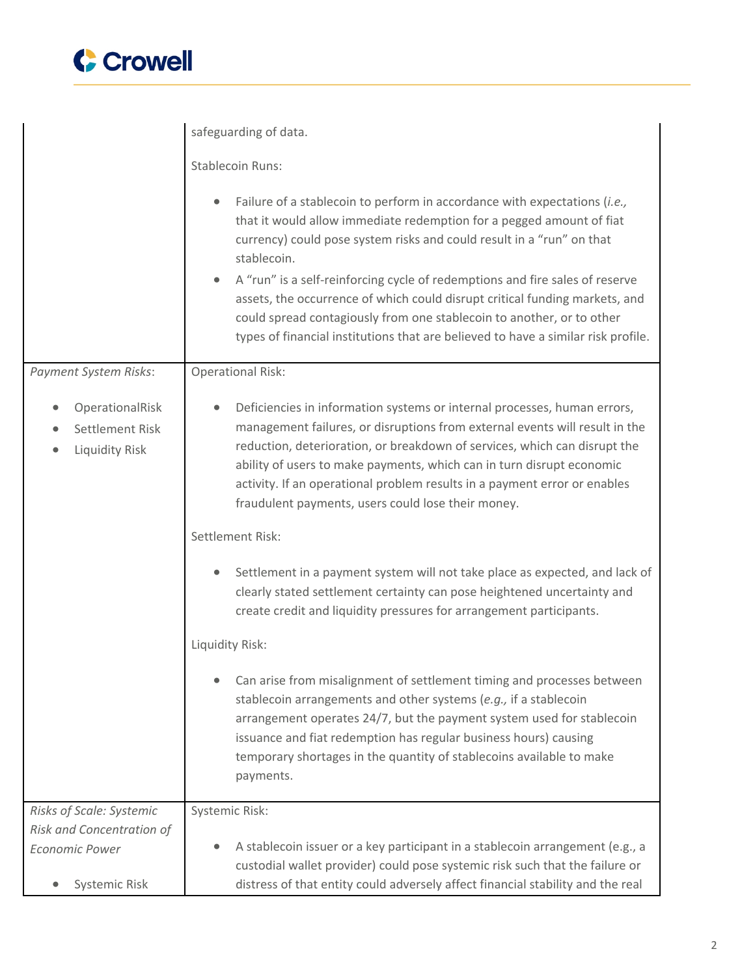

|                                                       | safeguarding of data.                                                                                                                                                                                                                                                                                                                                                                                                                                                                                                                                                  |
|-------------------------------------------------------|------------------------------------------------------------------------------------------------------------------------------------------------------------------------------------------------------------------------------------------------------------------------------------------------------------------------------------------------------------------------------------------------------------------------------------------------------------------------------------------------------------------------------------------------------------------------|
|                                                       | <b>Stablecoin Runs:</b>                                                                                                                                                                                                                                                                                                                                                                                                                                                                                                                                                |
|                                                       | Failure of a stablecoin to perform in accordance with expectations (i.e.,<br>that it would allow immediate redemption for a pegged amount of fiat<br>currency) could pose system risks and could result in a "run" on that<br>stablecoin.<br>A "run" is a self-reinforcing cycle of redemptions and fire sales of reserve<br>assets, the occurrence of which could disrupt critical funding markets, and<br>could spread contagiously from one stablecoin to another, or to other<br>types of financial institutions that are believed to have a similar risk profile. |
| <b>Payment System Risks:</b>                          | <b>Operational Risk:</b>                                                                                                                                                                                                                                                                                                                                                                                                                                                                                                                                               |
| OperationalRisk<br>Settlement Risk<br>Liquidity Risk  | Deficiencies in information systems or internal processes, human errors,<br>$\bullet$<br>management failures, or disruptions from external events will result in the<br>reduction, deterioration, or breakdown of services, which can disrupt the<br>ability of users to make payments, which can in turn disrupt economic<br>activity. If an operational problem results in a payment error or enables<br>fraudulent payments, users could lose their money.                                                                                                          |
|                                                       | Settlement Risk:                                                                                                                                                                                                                                                                                                                                                                                                                                                                                                                                                       |
|                                                       | Settlement in a payment system will not take place as expected, and lack of<br>clearly stated settlement certainty can pose heightened uncertainty and<br>create credit and liquidity pressures for arrangement participants.                                                                                                                                                                                                                                                                                                                                          |
|                                                       | Liquidity Risk:                                                                                                                                                                                                                                                                                                                                                                                                                                                                                                                                                        |
|                                                       | Can arise from misalignment of settlement timing and processes between<br>stablecoin arrangements and other systems (e.g., if a stablecoin<br>arrangement operates 24/7, but the payment system used for stablecoin<br>issuance and fiat redemption has regular business hours) causing<br>temporary shortages in the quantity of stablecoins available to make<br>payments.                                                                                                                                                                                           |
| Risks of Scale: Systemic<br>Risk and Concentration of | Systemic Risk:                                                                                                                                                                                                                                                                                                                                                                                                                                                                                                                                                         |
| <b>Economic Power</b><br>Systemic Risk                | A stablecoin issuer or a key participant in a stablecoin arrangement (e.g., a<br>custodial wallet provider) could pose systemic risk such that the failure or<br>distress of that entity could adversely affect financial stability and the real                                                                                                                                                                                                                                                                                                                       |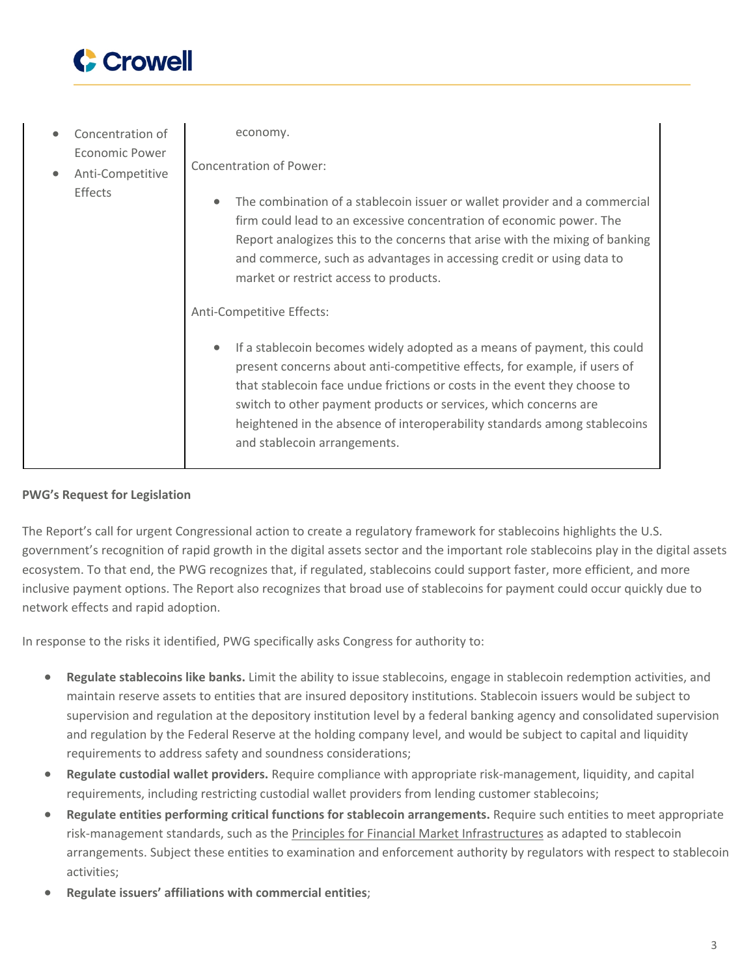

 Concentration of Economic Power Anti-Competitive Effects economy. Concentration of Power: The combination of a stablecoin issuer or wallet provider and a commercial firm could lead to an excessive concentration of economic power. The Report analogizes this to the concerns that arise with the mixing of banking and commerce, such as advantages in accessing credit or using data to market or restrict access to products. Anti-Competitive Effects: If a stablecoin becomes widely adopted as a means of payment, this could present concerns about anti-competitive effects, for example, if users of that stablecoin face undue frictions or costs in the event they choose to switch to other payment products or services, which concerns are heightened in the absence of interoperability standards among stablecoins and stablecoin arrangements.

### **PWG's Request for Legislation**

The Report's call for urgent Congressional action to create a regulatory framework for stablecoins highlights the U.S. government's recognition of rapid growth in the digital assets sector and the important role stablecoins play in the digital assets ecosystem. To that end, the PWG recognizes that, if regulated, stablecoins could support faster, more efficient, and more inclusive payment options. The Report also recognizes that broad use of stablecoins for payment could occur quickly due to network effects and rapid adoption.

In response to the risks it identified, PWG specifically asks Congress for authority to:

- **Regulate stablecoins like banks.** Limit the ability to issue stablecoins, engage in stablecoin redemption activities, and maintain reserve assets to entities that are insured depository institutions. Stablecoin issuers would be subject to supervision and regulation at the depository institution level by a federal banking agency and consolidated supervision and regulation by the Federal Reserve at the holding company level, and would be subject to capital and liquidity requirements to address safety and soundness considerations;
- **Regulate custodial wallet providers.** Require compliance with appropriate risk-management, liquidity, and capital requirements, including restricting custodial wallet providers from lending customer stablecoins;
- **Regulate entities performing critical functions for stablecoin arrangements.** Require such entities to meet appropriate risk-management standards, such as the Principles for Financial Market [Infrastructures](https://www.bis.org/cpmi/publ/d101a.pdf) as adapted to stablecoin arrangements. Subject these entities to examination and enforcement authority by regulators with respect to stablecoin activities;
- **Regulate issuers' affiliations with commercial entities**;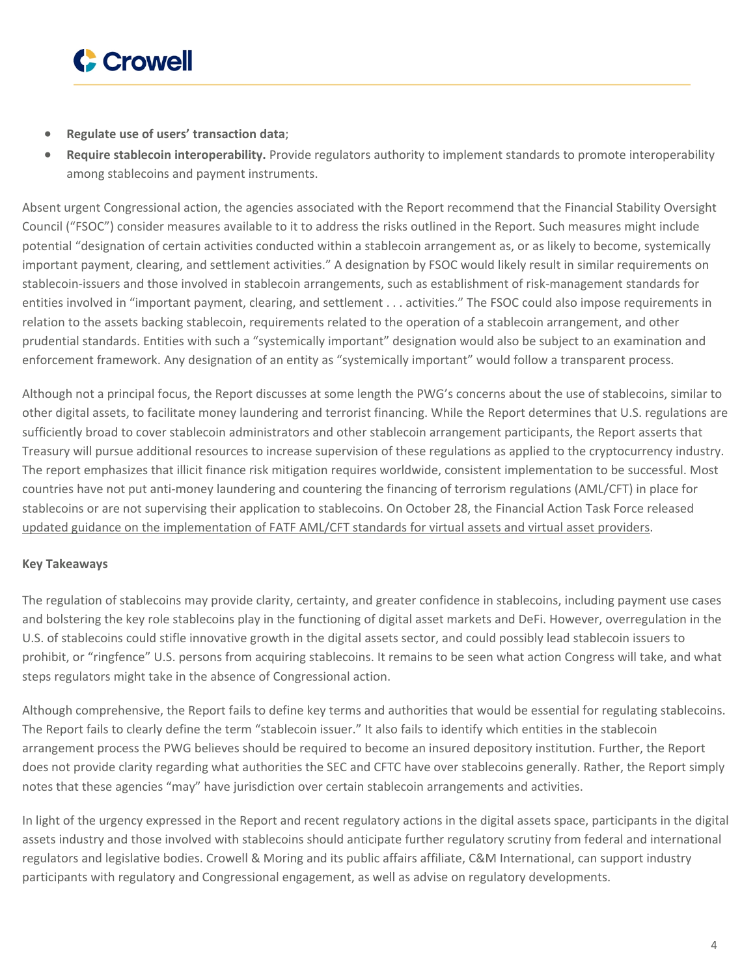

- **Regulate use of users' transaction data**;
- **Require stablecoin interoperability.** Provide regulators authority to implement standards to promote interoperability among stablecoins and payment instruments.

Absent urgent Congressional action, the agencies associated with the Report recommend that the Financial Stability Oversight Council ("FSOC") consider measures available to it to address the risks outlined in the Report. Such measures might include potential "designation of certain activities conducted within a stablecoin arrangement as, or as likely to become, systemically important payment, clearing, and settlement activities." A designation by FSOC would likely result in similar requirements on stablecoin-issuers and those involved in stablecoin arrangements, such as establishment of risk-management standards for entities involved in "important payment, clearing, and settlement . . . activities." The FSOC could also impose requirements in relation to the assets backing stablecoin, requirements related to the operation of a stablecoin arrangement, and other prudential standards. Entities with such a "systemically important" designation would also be subject to an examination and enforcement framework. Any designation of an entity as "systemically important" would follow a transparent process.

Although not a principal focus, the Report discusses at some length the PWG's concerns about the use of stablecoins, similar to other digital assets, to facilitate money laundering and terrorist financing. While the Report determines that U.S. regulations are sufficiently broad to cover stablecoin administrators and other stablecoin arrangement participants, the Report asserts that Treasury will pursue additional resources to increase supervision of these regulations as applied to the cryptocurrency industry. The report emphasizes that illicit finance risk mitigation requires worldwide, consistent implementation to be successful. Most countries have not put anti-money laundering and countering the financing of terrorism regulations (AML/CFT) in place for stablecoins or are not supervising their application to stablecoins. On October 28, the Financial Action Task Force released updated guidance on the [implementation](https://www.fatf-gafi.org/media/fatf/documents/recommendations/Updated-Guidance-VA-VASP.pdf) of FATF AML/CFT standards for virtual assets and virtual asset providers.

## **Key Takeaways**

The regulation of stablecoins may provide clarity, certainty, and greater confidence in stablecoins, including payment use cases and bolstering the key role stablecoins play in the functioning of digital asset markets and DeFi. However, overregulation in the U.S. of stablecoins could stifle innovative growth in the digital assets sector, and could possibly lead stablecoin issuers to prohibit, or "ringfence" U.S. persons from acquiring stablecoins. It remains to be seen what action Congress will take, and what steps regulators might take in the absence of Congressional action.

Although comprehensive, the Report fails to define key terms and authorities that would be essential for regulating stablecoins. The Report fails to clearly define the term "stablecoin issuer." It also fails to identify which entities in the stablecoin arrangement process the PWG believes should be required to become an insured depository institution. Further, the Report does not provide clarity regarding what authorities the SEC and CFTC have over stablecoins generally. Rather, the Report simply notes that these agencies "may" have jurisdiction over certain stablecoin arrangements and activities.

In light of the urgency expressed in the Report and recent regulatory actions in the digital assets space, participants in the digital assets industry and those involved with stablecoins should anticipate further regulatory scrutiny from federal and international regulators and legislative bodies. Crowell & Moring and its public affairs affiliate, C&M International, can support industry participants with regulatory and Congressional engagement, as well as advise on regulatory developments.